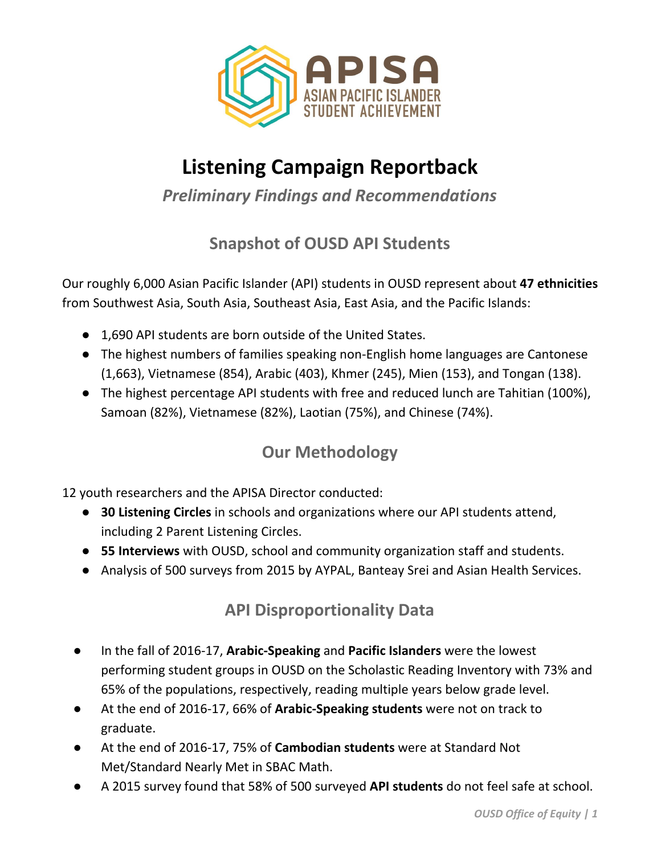

## **Listening Campaign Reportback**

*Preliminary Findings and Recommendations*

## **Snapshot of OUSD API Students**

Our roughly 6,000 Asian Pacific Islander (API) students in OUSD represent about **47 ethnicities** from Southwest Asia, South Asia, Southeast Asia, East Asia, and the Pacific Islands:

- 1,690 API students are born outside of the United States.
- The highest numbers of families speaking non-English home languages are Cantonese (1,663), Vietnamese (854), Arabic (403), Khmer (245), Mien (153), and Tongan (138).
- The highest percentage API students with free and reduced lunch are Tahitian (100%), Samoan (82%), Vietnamese (82%), Laotian (75%), and Chinese (74%).

## **Our Methodology**

12 youth researchers and the APISA Director conducted:

- **30 Listening Circles** in schools and organizations where our API students attend, including 2 Parent Listening Circles.
- **55 Interviews** with OUSD, school and community organization staff and students.
- Analysis of 500 surveys from 2015 by AYPAL, Banteay Srei and Asian Health Services.

## **API Disproportionality Data**

- In the fall of 2016-17, **Arabic-Speaking** and **Pacific Islanders** were the lowest performing student groups in OUSD on the Scholastic Reading Inventory with 73% and 65% of the populations, respectively, reading multiple years below grade level.
- At the end of 2016-17, 66% of **Arabic-Speaking students** were not on track to graduate.
- At the end of 2016-17, 75% of **Cambodian students** were at Standard Not Met/Standard Nearly Met in SBAC Math.
- A 2015 survey found that 58% of 500 surveyed **API students** do not feel safe at school.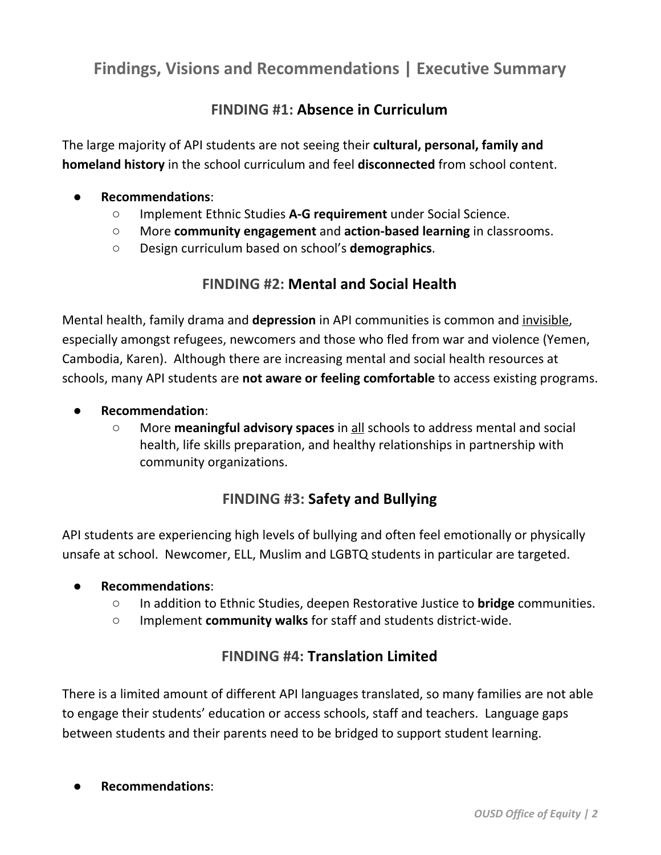### **Findings, Visions and Recommendations | Executive Summary**

#### **FINDING #1: Absence in Curriculum**

The large majority of API students are not seeing their **cultural, personal, family and homeland history** in the school curriculum and feel **disconnected** from school content.

# **Recommendations:**<br>  $\circ$  **Implement Et**

- Implement Ethnic Studies A-G requirement under Social Science.
- More **community engagement** and **action-based learning** in classrooms.
- Design curriculum based on school's **demographics**.

#### **FINDING #2: Mental and Social Health**

Mental health, family drama and **depression** in API communities is common and invisible, especially amongst refugees, newcomers and those who fled from war and violence (Yemen, Cambodia, Karen). Although there are increasing mental and social health resources at schools, many API students are **not aware or feeling comfortable** to access existing programs.

- **Recommendation:**<br> **O** More **meani** 
	- More **meaningful advisory spaces** in all schools to address mental and social health, life skills preparation, and healthy relationships in partnership with community organizations.

#### **FINDING #3: Safety and Bullying**

API students are experiencing high levels of bullying and often feel emotionally or physically unsafe at school. Newcomer, ELL, Muslim and LGBTQ students in particular are targeted.

#### ● **Recommendations**:

- In addition to Ethnic Studies, deepen Restorative Justice to **bridge** communities.
- Implement **community walks** for staff and students district-wide.

#### **FINDING #4: Translation Limited**

There is a limited amount of different API languages translated, so many families are not able to engage their students' education or access schools, staff and teachers. Language gaps between students and their parents need to be bridged to support student learning.

#### ● **Recommendations**: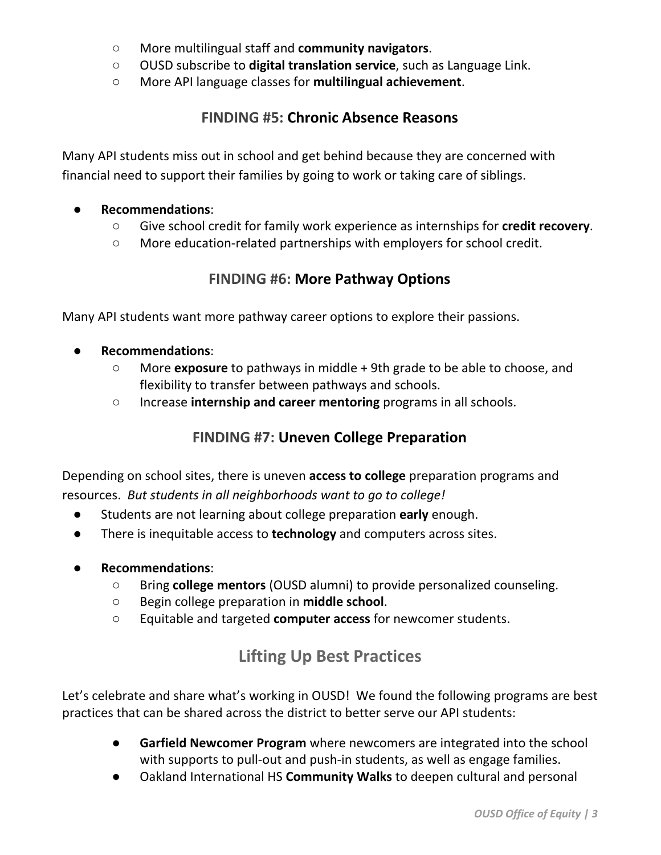- More multilingual staff and **community navigators**.
- OUSD subscribe to **digital translation service**, such as Language Link.
- More API language classes for **multilingual achievement**.

#### **FINDING #5: Chronic Absence Reasons**

Many API students miss out in school and get behind because they are concerned with financial need to support their families by going to work or taking care of siblings.

## **Recommendations:**<br> **Q Give school compares**

- Give school credit for family work experience as internships for **credit recovery**.
- More education-related partnerships with employers for school credit.

#### **FINDING #6: More Pathway Options**

Many API students want more pathway career options to explore their passions.

- **Recommendations:**<br>  $\circ$  **More exposure** 
	- More **exposure** to pathways in middle + 9th grade to be able to choose, and flexibility to transfer between pathways and schools.
	- Increase **internship and career mentoring** programs in all schools.

#### **FINDING #7: Uneven College Preparation**

Depending on school sites, there is uneven **access to college** preparation programs and resources. *But students in all neighborhoods want to go to college!*

- Students are not learning about college preparation early enough.
- There is inequitable access to **technology** and computers across sites.
- **Recommendations**:
	- Bring **college mentors** (OUSD alumni) to provide personalized counseling.
	- Begin college preparation in **middle school**.
	- Equitable and targeted **computer access** for newcomer students.

### **Lifting Up Best Practices**

Let's celebrate and share what's working in OUSD! We found the following programs are best practices that can be shared across the district to better serve our API students:

- **Garfield Newcomer Program** where newcomers are integrated into the school with supports to pull-out and push-in students, as well as engage families.
- Oakland International HS **Community Walks** to deepen cultural and personal